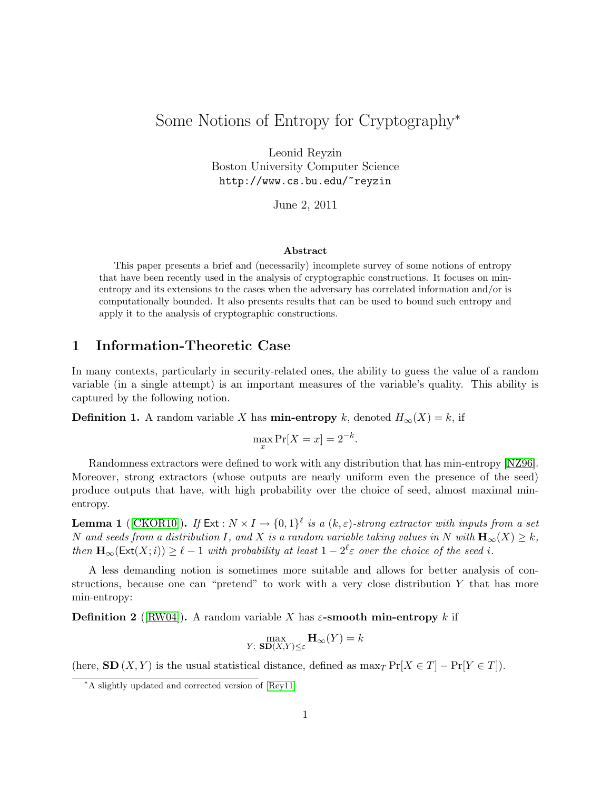# Some Notions of Entropy for Cryptography<sup>∗</sup>

Leonid Reyzin Boston University Computer Science http://www.cs.bu.edu/~reyzin

June 2, 2011

#### Abstract

This paper presents a brief and (necessarily) incomplete survey of some notions of entropy that have been recently used in the analysis of cryptographic constructions. It focuses on minentropy and its extensions to the cases when the adversary has correlated information and/or is computationally bounded. It also presents results that can be used to bound such entropy and apply it to the analysis of cryptographic constructions.

### 1 Information-Theoretic Case

In many contexts, particularly in security-related ones, the ability to guess the value of a random variable (in a single attempt) is an important measures of the variable's quality. This ability is captured by the following notion.

**Definition 1.** A random variable X has **min-entropy** k, denoted  $H_{\infty}(X) = k$ , if

$$
\max_x \Pr[X = x] = 2^{-k}.
$$

Randomness extractors were defined to work with any distribution that has min-entropy [\[NZ96\]](#page-4-0). Moreover, strong extractors (whose outputs are nearly uniform even the presence of the seed) produce outputs that have, with high probability over the choice of seed, almost maximal minentropy.

**Lemma 1** ([\[CKOR10\]](#page-3-0)). If  $Ext : N \times I \to \{0,1\}^{\ell}$  is a  $(k,\varepsilon)$ -strong extractor with inputs from a set N and seeds from a distribution I, and X is a random variable taking values in N with  $\mathbf{H}_{\infty}(X) \geq k$ , then  $\mathbf{H}_{\infty}(\mathsf{Ext}(X;i)) \geq \ell - 1$  with probability at least  $1 - 2^{\ell} \varepsilon$  over the choice of the seed i.

A less demanding notion is sometimes more suitable and allows for better analysis of constructions, because one can "pretend" to work with a very close distribution  $Y$  that has more min-entropy:

**Definition 2** ([\[RW04\]](#page-4-1)). A random variable X has  $\varepsilon$ -**smooth min-entropy** k if

$$
\max_{Y: \ \mathbf{SD}(X,Y)\leq \varepsilon} \mathbf{H}_{\infty}(Y) = k
$$

(here,  $SD(X, Y)$  is the usual statistical distance, defined as  $max_T Pr[X \in T] - Pr[Y \in T]$ ).

<sup>∗</sup>A slightly updated and corrected version of [\[Rey11\]](#page-4-2)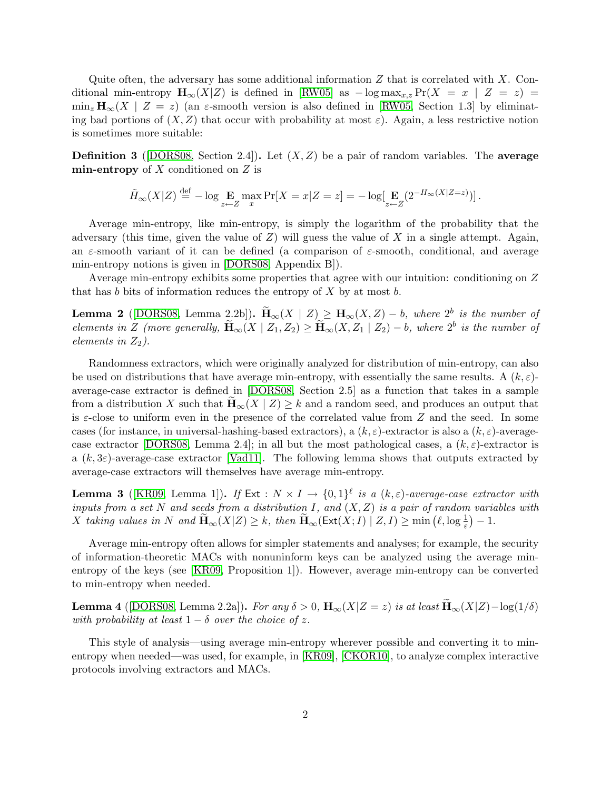Quite often, the adversary has some additional information  $Z$  that is correlated with  $X$ . Conditional min-entropy  $\mathbf{H}_{\infty}(X|Z)$  is defined in [\[RW05\]](#page-4-3) as  $-\log \max_{x,z} \Pr(X = x \mid Z = z)$  $\min_z \mathbf{H}_{\infty}(X \mid Z = z)$  (an  $\varepsilon$ -smooth version is also defined in [\[RW05,](#page-4-3) Section 1.3] by eliminating bad portions of  $(X, Z)$  that occur with probability at most  $\varepsilon$ ). Again, a less restrictive notion is sometimes more suitable:

**Definition 3** ([\[DORS08,](#page-3-1) Section 2.4]). Let  $(X, Z)$  be a pair of random variables. The **average** min-entropy of  $X$  conditioned on  $Z$  is

$$
\tilde{H}_{\infty}(X|Z) \stackrel{\text{def}}{=} -\log \mathop{\mathbf{E}}_{z \leftarrow Z} \max_{x} \Pr[X = x | Z = z] = -\log[\mathop{\mathbf{E}}_{z \leftarrow Z} (2^{-H_{\infty}(X|Z=z)})].
$$

Average min-entropy, like min-entropy, is simply the logarithm of the probability that the adversary (this time, given the value of  $Z$ ) will guess the value of  $X$  in a single attempt. Again, an  $\varepsilon$ -smooth variant of it can be defined (a comparison of  $\varepsilon$ -smooth, conditional, and average min-entropy notions is given in [\[DORS08,](#page-3-1) Appendix B]).

Average min-entropy exhibits some properties that agree with our intuition: conditioning on Z that has b bits of information reduces the entropy of  $X$  by at most b.

<span id="page-1-0"></span>**Lemma 2** ([\[DORS08,](#page-3-1) Lemma 2.2b]).  $\widetilde{\mathbf{H}}_{\infty}(X | Z) \geq \mathbf{H}_{\infty}(X, Z) - b$ , where  $2^b$  is the number of elements in Z (more generally,  $\widetilde{\mathbf{H}}_{\infty}(X | Z_1, Z_2) \ge \widetilde{\mathbf{H}}_{\infty}(X, Z_1 | Z_2) - b$ , where  $2^b$  is the number of elements in  $Z_2$ ).

Randomness extractors, which were originally analyzed for distribution of min-entropy, can also be used on distributions that have average min-entropy, with essentially the same results. A  $(k, \varepsilon)$ average-case extractor is defined in [\[DORS08,](#page-3-1) Section 2.5] as a function that takes in a sample from a distribution X such that  $\mathbf{H}_{\infty}(X | Z) \geq k$  and a random seed, and produces an output that is  $\varepsilon$ -close to uniform even in the presence of the correlated value from Z and the seed. In some cases (for instance, in universal-hashing-based extractors), a  $(k, \varepsilon)$ -extractor is also a  $(k, \varepsilon)$ -average-case extractor [\[DORS08,](#page-3-1) Lemma 2.4]; in all but the most pathological cases, a  $(k, \varepsilon)$ -extractor is a  $(k, 3\varepsilon)$ -average-case extractor [\[Vad11\]](#page-4-4). The following lemma shows that outputs extracted by average-case extractors will themselves have average min-entropy.

**Lemma 3** ([\[KR09,](#page-4-5) Lemma 1]). If  $Ext : N \times I \to \{0,1\}^{\ell}$  is a  $(k,\varepsilon)$ -average-case extractor with inputs from a set N and seeds from a distribution I, and  $(X, Z)$  is a pair of random variables with X taking values in N and  $\widetilde{\mathbf{H}}_{\infty}(X|Z) \geq k$ , then  $\widetilde{\mathbf{H}}_{\infty}(\mathsf{Ext}(X;I) \mid Z,I) \geq \min\left(\ell, \log \frac{1}{\varepsilon}\right) - 1$ .

Average min-entropy often allows for simpler statements and analyses; for example, the security of information-theoretic MACs with nonuninform keys can be analyzed using the average minentropy of the keys (see [\[KR09,](#page-4-5) Proposition 1]). However, average min-entropy can be converted to min-entropy when needed.

**Lemma 4** ([\[DORS08,](#page-3-1) Lemma 2.2a]). For any  $\delta > 0$ ,  $\mathbf{H}_{\infty}(X|Z=z)$  is at least  $\mathbf{H}_{\infty}(X|Z) - \log(1/\delta)$ with probability at least  $1 - \delta$  over the choice of z.

This style of analysis—using average min-entropy wherever possible and converting it to minentropy when needed—was used, for example, in [\[KR09\]](#page-4-5), [\[CKOR10\]](#page-3-0), to analyze complex interactive protocols involving extractors and MACs.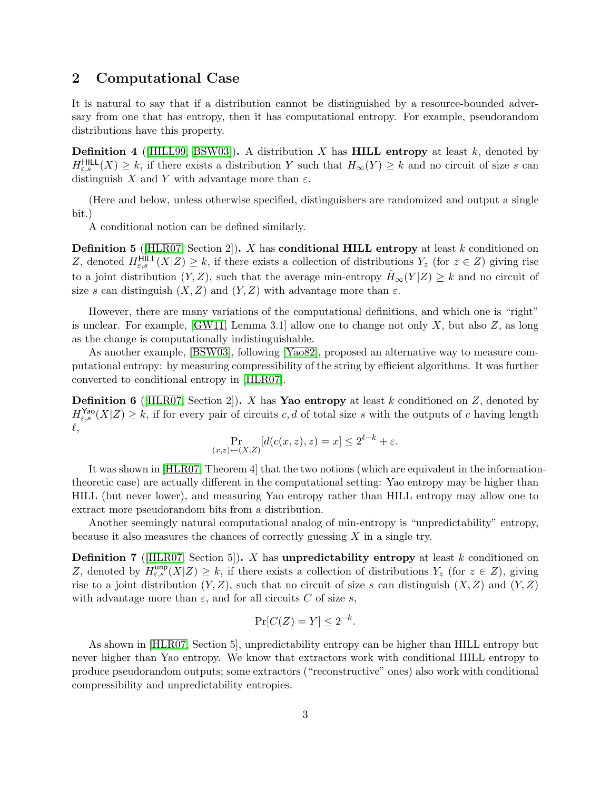## 2 Computational Case

It is natural to say that if a distribution cannot be distinguished by a resource-bounded adversary from one that has entropy, then it has computational entropy. For example, pseudorandom distributions have this property.

**Definition 4** ( $\text{[HILL99, BSW03]}$  $\text{[HILL99, BSW03]}$  $\text{[HILL99, BSW03]}$  $\text{[HILL99, BSW03]}$ ). A distribution X has **HILL entropy** at least k, denoted by  $H_{\varepsilon,s}^{\text{HILL}}(X) \geq k$ , if there exists a distribution Y such that  $H_{\infty}(Y) \geq k$  and no circuit of size s can distinguish X and Y with advantage more than  $\varepsilon$ .

(Here and below, unless otherwise specified, distinguishers are randomized and output a single bit.)

A conditional notion can be defined similarly.

<span id="page-2-0"></span>**Definition 5** (HLR07, Section 2). X has **conditional HILL entropy** at least k conditioned on Z, denoted  $H_{\varepsilon,s}^{\text{HILL}}(X|Z) \geq k$ , if there exists a collection of distributions  $Y_z$  (for  $z \in Z$ ) giving rise to a joint distribution  $(Y, Z)$ , such that the average min-entropy  $H_{\infty}(Y|Z) \geq k$  and no circuit of size s can distinguish  $(X, Z)$  and  $(Y, Z)$  with advantage more than  $\varepsilon$ .

However, there are many variations of the computational definitions, and which one is "right" is unclear. For example,  $(GW11, Lemma 3.1)$  allow one to change not only X, but also Z, as long as the change is computationally indistinguishable.

As another example, [\[BSW03\]](#page-3-2), following [\[Yao82\]](#page-4-9), proposed an alternative way to measure computational entropy: by measuring compressibility of the string by efficient algorithms. It was further converted to conditional entropy in [\[HLR07\]](#page-4-7).

**Definition 6** (HLR07, Section 2). X has Yao entropy at least k conditioned on Z, denoted by  $H_{\varepsilon,s}^{\text{Yao}}(X|Z) \geq k$ , if for every pair of circuits c, d of total size s with the outputs of c having length  $\ell,$ 

$$
\Pr_{(x,z)\leftarrow(X,Z)}[d(c(x,z),z) = x] \le 2^{\ell-k} + \varepsilon.
$$

It was shown in [\[HLR07,](#page-4-7) Theorem 4] that the two notions (which are equivalent in the informationtheoretic case) are actually different in the computational setting: Yao entropy may be higher than HILL (but never lower), and measuring Yao entropy rather than HILL entropy may allow one to extract more pseudorandom bits from a distribution.

Another seemingly natural computational analog of min-entropy is "unpredictability" entropy, because it also measures the chances of correctly guessing  $X$  in a single try.

**Definition 7** (HLR07, Section 5). X has unpredictability entropy at least k conditioned on Z, denoted by  $H_{\varepsilon,s}^{\text{unp}}(X|Z) \geq k$ , if there exists a collection of distributions  $Y_z$  (for  $z \in Z$ ), giving rise to a joint distribution  $(Y, Z)$ , such that no circuit of size s can distinguish  $(X, Z)$  and  $(Y, Z)$ with advantage more than  $\varepsilon$ , and for all circuits C of size s,

$$
\Pr[C(Z) = Y] \le 2^{-k}.
$$

As shown in [\[HLR07,](#page-4-7) Section 5], unpredictability entropy can be higher than HILL entropy but never higher than Yao entropy. We know that extractors work with conditional HILL entropy to produce pseudorandom outputs; some extractors ("reconstructive" ones) also work with conditional compressibility and unpredictability entropies.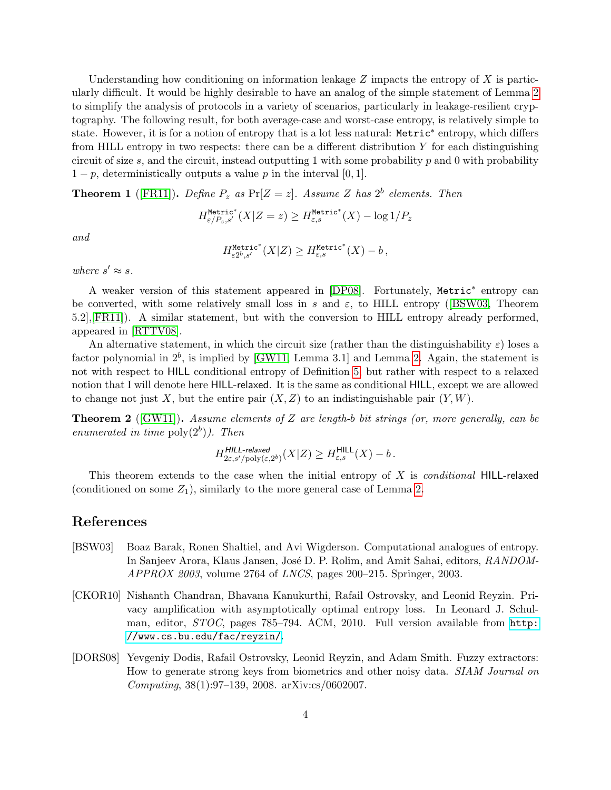Understanding how conditioning on information leakage  $Z$  impacts the entropy of  $X$  is particularly difficult. It would be highly desirable to have an analog of the simple statement of Lemma [2](#page-1-0) to simplify the analysis of protocols in a variety of scenarios, particularly in leakage-resilient cryptography. The following result, for both average-case and worst-case entropy, is relatively simple to state. However, it is for a notion of entropy that is a lot less natural: Metric<sup>∗</sup> entropy, which differs from HILL entropy in two respects: there can be a different distribution Y for each distinguishing circuit of size s, and the circuit, instead outputting 1 with some probability p and 0 with probability  $1-p$ , deterministically outputs a value p in the interval [0, 1].

**Theorem 1** ([\[FR11\]](#page-4-10)). Define  $P_z$  as  $Pr[Z = z]$ . Assume Z has  $2^b$  elements. Then

$$
H^{\text{Metric}^*}_{\varepsilon/P_z,s'}(X|Z=z)\geq H^{\text{Metric}^*}_{\varepsilon,s}(X)-\log 1/P_z
$$

and

$$
H^{\mathrm{Metric}^*}_{\varepsilon 2^b, s'}(X|Z) \geq H^{\mathrm{Metric}^*}_{\varepsilon, s}(X) - b\,,
$$

where  $s' \approx s$ .

A weaker version of this statement appeared in [\[DP08\]](#page-4-11). Fortunately, Metric<sup>∗</sup> entropy can be converted, with some relatively small loss in s and  $\varepsilon$ , to HILL entropy ([\[BSW03,](#page-3-2) Theorem 5.2],[\[FR11\]](#page-4-10)). A similar statement, but with the conversion to HILL entropy already performed, appeared in [\[RTTV08\]](#page-4-12).

An alternative statement, in which the circuit size (rather than the distinguishability  $\varepsilon$ ) loses a factor polynomial in  $2^b$ , is implied by [\[GW11,](#page-4-8) Lemma 3.1] and Lemma [2.](#page-1-0) Again, the statement is not with respect to HILL conditional entropy of Definition [5,](#page-2-0) but rather with respect to a relaxed notion that I will denote here HILL-relaxed. It is the same as conditional HILL, except we are allowed to change not just X, but the entire pair  $(X, Z)$  to an indistinguishable pair  $(Y, W)$ .

**Theorem 2** ([\[GW11\]](#page-4-8)). Assume elements of Z are length-b bit strings (or, more generally, can be enumerated in time  $\text{poly}(2^b)$ ). Then

$$
H^{HILL\text{-}relaxed}_{2\varepsilon, s'/\text{poly}(\varepsilon, 2^b)}(X|Z) \geq H^{\text{HILL}}_{\varepsilon, s}(X) - b\,.
$$

This theorem extends to the case when the initial entropy of  $X$  is *conditional* HILL-relaxed (conditioned on some  $Z_1$ ), similarly to the more general case of Lemma [2.](#page-1-0)

#### References

- <span id="page-3-2"></span>[BSW03] Boaz Barak, Ronen Shaltiel, and Avi Wigderson. Computational analogues of entropy. In Sanjeev Arora, Klaus Jansen, José D. P. Rolim, and Amit Sahai, editors, RANDOM-APPROX 2003, volume 2764 of LNCS, pages 200–215. Springer, 2003.
- <span id="page-3-0"></span>[CKOR10] Nishanth Chandran, Bhavana Kanukurthi, Rafail Ostrovsky, and Leonid Reyzin. Privacy amplification with asymptotically optimal entropy loss. In Leonard J. Schulman, editor, STOC, pages 785–794. ACM, 2010. Full version available from [http:](http://www.cs.bu.edu/fac/reyzin/) [//www.cs.bu.edu/fac/reyzin/](http://www.cs.bu.edu/fac/reyzin/).
- <span id="page-3-1"></span>[DORS08] Yevgeniy Dodis, Rafail Ostrovsky, Leonid Reyzin, and Adam Smith. Fuzzy extractors: How to generate strong keys from biometrics and other noisy data. SIAM Journal on Computing, 38(1):97–139, 2008. arXiv:cs/0602007.